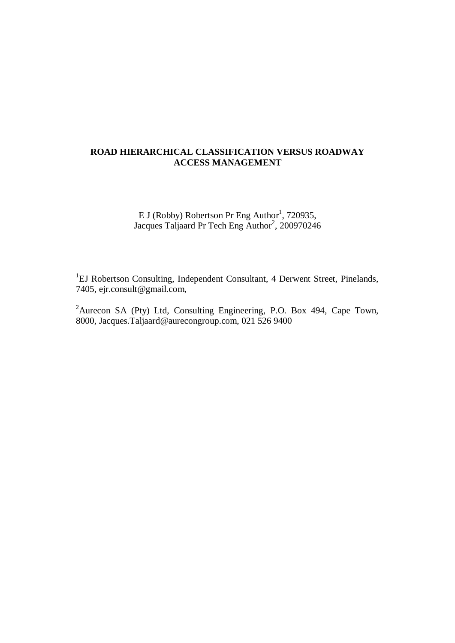# **ROAD HIERARCHICAL CLASSIFICATION VERSUS ROADWAY ACCESS MANAGEMENT**

E J (Robby) Robertson Pr Eng Author<sup>1</sup>, 720935, Jacques Taljaard Pr Tech Eng Author<sup>2</sup>, 200970246

<sup>1</sup>EJ Robertson Consulting, Independent Consultant, 4 Derwent Street, Pinelands, 7405, ejr.consult@gmail.com,

<sup>2</sup>Aurecon SA (Pty) Ltd, Consulting Engineering, P.O. Box 494, Cape Town, 8000, Jacques.Taljaard@aurecongroup.com, 021 526 9400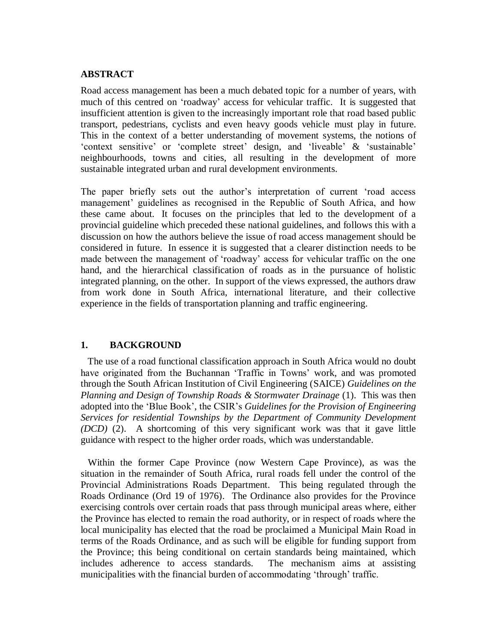#### **ABSTRACT**

Road access management has been a much debated topic for a number of years, with much of this centred on 'roadway' access for vehicular traffic. It is suggested that insufficient attention is given to the increasingly important role that road based public transport, pedestrians, cyclists and even heavy goods vehicle must play in future. This in the context of a better understanding of movement systems, the notions of 'context sensitive' or 'complete street' design, and 'liveable' & 'sustainable' neighbourhoods, towns and cities, all resulting in the development of more sustainable integrated urban and rural development environments.

The paper briefly sets out the author's interpretation of current 'road access management' guidelines as recognised in the Republic of South Africa, and how these came about. It focuses on the principles that led to the development of a provincial guideline which preceded these national guidelines, and follows this with a discussion on how the authors believe the issue of road access management should be considered in future. In essence it is suggested that a clearer distinction needs to be made between the management of 'roadway' access for vehicular traffic on the one hand, and the hierarchical classification of roads as in the pursuance of holistic integrated planning, on the other. In support of the views expressed, the authors draw from work done in South Africa, international literature, and their collective experience in the fields of transportation planning and traffic engineering.

## **1. BACKGROUND**

 The use of a road functional classification approach in South Africa would no doubt have originated from the Buchannan 'Traffic in Towns' work, and was promoted through the South African Institution of Civil Engineering (SAICE) *Guidelines on the Planning and Design of Township Roads & Stormwater Drainage* (1). This was then adopted into the 'Blue Book', the CSIR's *Guidelines for the Provision of Engineering Services for residential Townships by the Department of Community Development (DCD)* (2). A shortcoming of this very significant work was that it gave little guidance with respect to the higher order roads, which was understandable.

 Within the former Cape Province (now Western Cape Province), as was the situation in the remainder of South Africa, rural roads fell under the control of the Provincial Administrations Roads Department. This being regulated through the Roads Ordinance (Ord 19 of 1976). The Ordinance also provides for the Province exercising controls over certain roads that pass through municipal areas where, either the Province has elected to remain the road authority, or in respect of roads where the local municipality has elected that the road be proclaimed a Municipal Main Road in terms of the Roads Ordinance, and as such will be eligible for funding support from the Province; this being conditional on certain standards being maintained, which includes adherence to access standards. The mechanism aims at assisting municipalities with the financial burden of accommodating 'through' traffic.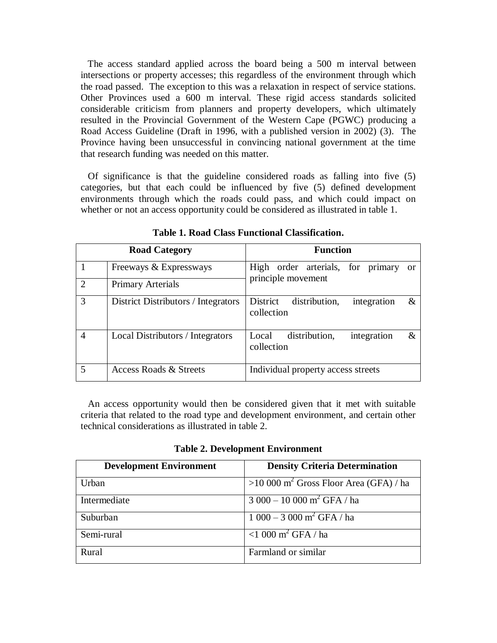The access standard applied across the board being a 500 m interval between intersections or property accesses; this regardless of the environment through which the road passed. The exception to this was a relaxation in respect of service stations. Other Provinces used a 600 m interval. These rigid access standards solicited considerable criticism from planners and property developers, which ultimately resulted in the Provincial Government of the Western Cape (PGWC) producing a Road Access Guideline (Draft in 1996, with a published version in 2002) (3). The Province having been unsuccessful in convincing national government at the time that research funding was needed on this matter.

 Of significance is that the guideline considered roads as falling into five (5) categories, but that each could be influenced by five (5) defined development environments through which the roads could pass, and which could impact on whether or not an access opportunity could be considered as illustrated in table 1.

| <b>Road Category</b> |                                     | <b>Function</b>                                             |  |
|----------------------|-------------------------------------|-------------------------------------------------------------|--|
|                      | Freeways & Expressways              | High order arterials, for primary<br>- or                   |  |
| $\mathcal{D}$        | <b>Primary Arterials</b>            | principle movement                                          |  |
| 3                    | District Distributors / Integrators | District<br>distribution,<br>integration<br>&<br>collection |  |
| 4                    | Local Distributors / Integrators    | distribution,<br>integration<br>&<br>Local<br>collection    |  |
|                      | <b>Access Roads &amp; Streets</b>   | Individual property access streets                          |  |

**Table 1. Road Class Functional Classification.**

 An access opportunity would then be considered given that it met with suitable criteria that related to the road type and development environment, and certain other technical considerations as illustrated in table 2.

**Table 2. Development Environment**

| <b>Development Environment</b> | <b>Density Criteria Determination</b>               |
|--------------------------------|-----------------------------------------------------|
| Urban                          | $>10000$ m <sup>2</sup> Gross Floor Area (GFA) / ha |
| Intermediate                   | $3000 - 10000$ m <sup>2</sup> GFA $\sqrt{ha}$       |
| Suburban                       | $1000 - 3000$ m <sup>2</sup> GFA / ha               |
| Semi-rural                     | $\overline{1000 \text{ m}^2 \text{ GFA}}$ / ha      |
| Rural                          | Farmland or similar                                 |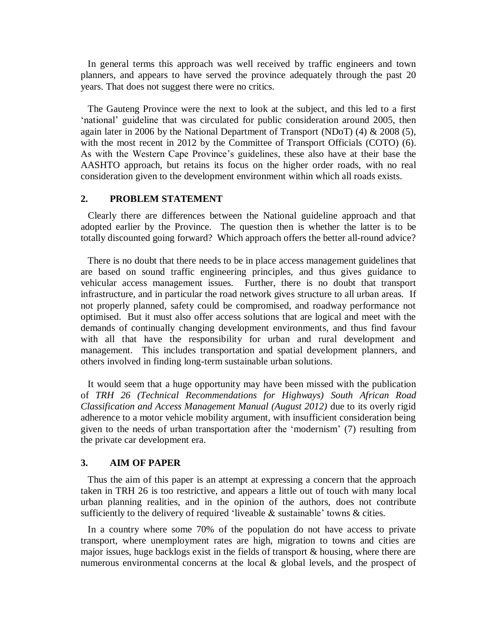In general terms this approach was well received by traffic engineers and town planners, and appears to have served the province adequately through the past 20 years. That does not suggest there were no critics.

 The Gauteng Province were the next to look at the subject, and this led to a first 'national' guideline that was circulated for public consideration around 2005, then again later in 2006 by the National Department of Transport (NDoT) (4) & 2008 (5), with the most recent in 2012 by the Committee of Transport Officials (COTO) (6). As with the Western Cape Province's guidelines, these also have at their base the AASHTO approach, but retains its focus on the higher order roads, with no real consideration given to the development environment within which all roads exists.

#### **2. PROBLEM STATEMENT**

 Clearly there are differences between the National guideline approach and that adopted earlier by the Province. The question then is whether the latter is to be totally discounted going forward? Which approach offers the better all-round advice?

 There is no doubt that there needs to be in place access management guidelines that are based on sound traffic engineering principles, and thus gives guidance to vehicular access management issues. Further, there is no doubt that transport infrastructure, and in particular the road network gives structure to all urban areas. If not properly planned, safety could be compromised, and roadway performance not optimised. But it must also offer access solutions that are logical and meet with the demands of continually changing development environments, and thus find favour with all that have the responsibility for urban and rural development and management. This includes transportation and spatial development planners, and others involved in finding long-term sustainable urban solutions.

 It would seem that a huge opportunity may have been missed with the publication of *TRH 26 (Technical Recommendations for Highways) South African Road Classification and Access Management Manual (August 2012)* due to its overly rigid adherence to a motor vehicle mobility argument, with insufficient consideration being given to the needs of urban transportation after the 'modernism' (7) resulting from the private car development era.

#### **3. AIM OF PAPER**

 Thus the aim of this paper is an attempt at expressing a concern that the approach taken in TRH 26 is too restrictive, and appears a little out of touch with many local urban planning realities, and in the opinion of the authors, does not contribute sufficiently to the delivery of required 'liveable & sustainable' towns & cities.

 In a country where some 70% of the population do not have access to private transport, where unemployment rates are high, migration to towns and cities are major issues, huge backlogs exist in the fields of transport & housing, where there are numerous environmental concerns at the local & global levels, and the prospect of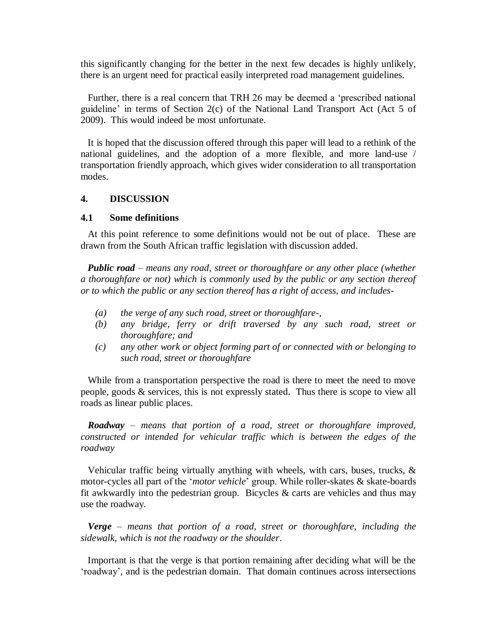this significantly changing for the better in the next few decades is highly unlikely, there is an urgent need for practical easily interpreted road management guidelines.

 Further, there is a real concern that TRH 26 may be deemed a 'prescribed national guideline' in terms of Section 2(c) of the National Land Transport Act (Act 5 of 2009). This would indeed be most unfortunate.

 It is hoped that the discussion offered through this paper will lead to a rethink of the national guidelines, and the adoption of a more flexible, and more land-use / transportation friendly approach, which gives wider consideration to all transportation modes.

### **4. DISCUSSION**

### **4.1 Some definitions**

 At this point reference to some definitions would not be out of place. These are drawn from the South African traffic legislation with discussion added.

 *Public road – means any road, street or thoroughfare or any other place (whether a thoroughfare or not) which is commonly used by the public or any section thereof or to which the public or any section thereof has a right of access, and includes-*

- *(a) the verge of any such road, street or thoroughfare-,*
- *(b) any bridge, ferry or drift traversed by any such road, street or thoroughfare; and*
- *(c) any other work or object forming part of or connected with or belonging to such road, street or thoroughfare*

 While from a transportation perspective the road is there to meet the need to move people, goods & services, this is not expressly stated. Thus there is scope to view all roads as linear public places.

 *Roadway – means that portion of a road, street or thoroughfare improved, constructed or intended for vehicular traffic which is between the edges of the roadway*

 Vehicular traffic being virtually anything with wheels, with cars, buses, trucks, & motor-cycles all part of the '*motor vehicle*' group. While roller-skates & skate-boards fit awkwardly into the pedestrian group. Bicycles  $\&$  carts are vehicles and thus may use the roadway.

 *Verge – means that portion of a road, street or thoroughfare, including the sidewalk, which is not the roadway or the shoulder*.

 Important is that the verge is that portion remaining after deciding what will be the 'roadway', and is the pedestrian domain. That domain continues across intersections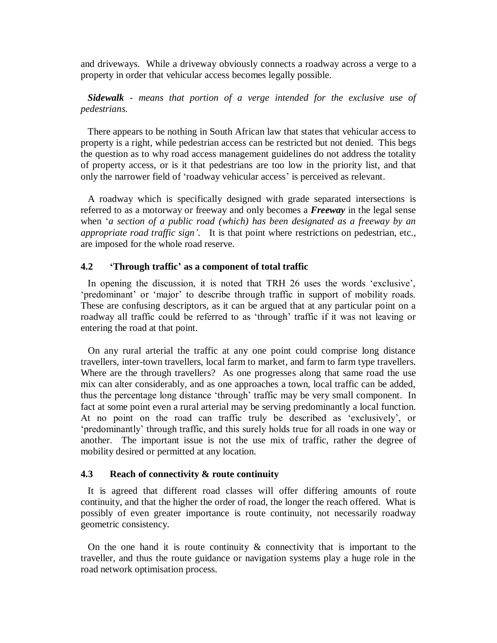and driveways. While a driveway obviously connects a roadway across a verge to a property in order that vehicular access becomes legally possible.

# *Sidewalk - means that portion of a verge intended for the exclusive use of pedestrians.*

 There appears to be nothing in South African law that states that vehicular access to property is a right, while pedestrian access can be restricted but not denied. This begs the question as to why road access management guidelines do not address the totality of property access, or is it that pedestrians are too low in the priority list, and that only the narrower field of 'roadway vehicular access' is perceived as relevant.

 A roadway which is specifically designed with grade separated intersections is referred to as a motorway or freeway and only becomes a *Freeway* in the legal sense when '*a section of a public road (which) has been designated as a freeway by an appropriate road traffic sign'*. It is that point where restrictions on pedestrian, etc., are imposed for the whole road reserve.

# **4.2 'Through traffic' as a component of total traffic**

 In opening the discussion, it is noted that TRH 26 uses the words 'exclusive', 'predominant' or 'major' to describe through traffic in support of mobility roads. These are confusing descriptors, as it can be argued that at any particular point on a roadway all traffic could be referred to as 'through' traffic if it was not leaving or entering the road at that point.

 On any rural arterial the traffic at any one point could comprise long distance travellers, inter-town travellers, local farm to market, and farm to farm type travellers. Where are the through travellers? As one progresses along that same road the use mix can alter considerably, and as one approaches a town, local traffic can be added, thus the percentage long distance 'through' traffic may be very small component. In fact at some point even a rural arterial may be serving predominantly a local function. At no point on the road can traffic truly be described as 'exclusively', or 'predominantly' through traffic, and this surely holds true for all roads in one way or another. The important issue is not the use mix of traffic, rather the degree of mobility desired or permitted at any location.

## **4.3 Reach of connectivity & route continuity**

 It is agreed that different road classes will offer differing amounts of route continuity, and that the higher the order of road, the longer the reach offered. What is possibly of even greater importance is route continuity, not necessarily roadway geometric consistency.

On the one hand it is route continuity  $\&$  connectivity that is important to the traveller, and thus the route guidance or navigation systems play a huge role in the road network optimisation process.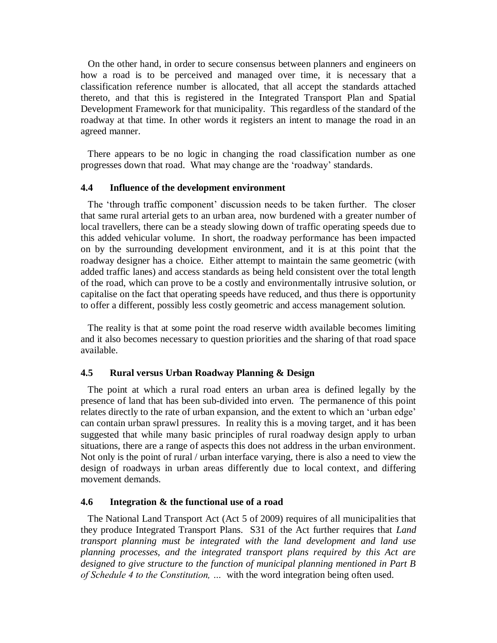On the other hand, in order to secure consensus between planners and engineers on how a road is to be perceived and managed over time, it is necessary that a classification reference number is allocated, that all accept the standards attached thereto, and that this is registered in the Integrated Transport Plan and Spatial Development Framework for that municipality. This regardless of the standard of the roadway at that time. In other words it registers an intent to manage the road in an agreed manner.

 There appears to be no logic in changing the road classification number as one progresses down that road. What may change are the 'roadway' standards.

#### **4.4 Influence of the development environment**

 The 'through traffic component' discussion needs to be taken further. The closer that same rural arterial gets to an urban area, now burdened with a greater number of local travellers, there can be a steady slowing down of traffic operating speeds due to this added vehicular volume. In short, the roadway performance has been impacted on by the surrounding development environment, and it is at this point that the roadway designer has a choice. Either attempt to maintain the same geometric (with added traffic lanes) and access standards as being held consistent over the total length of the road, which can prove to be a costly and environmentally intrusive solution, or capitalise on the fact that operating speeds have reduced, and thus there is opportunity to offer a different, possibly less costly geometric and access management solution.

 The reality is that at some point the road reserve width available becomes limiting and it also becomes necessary to question priorities and the sharing of that road space available.

### **4.5 Rural versus Urban Roadway Planning & Design**

 The point at which a rural road enters an urban area is defined legally by the presence of land that has been sub-divided into erven. The permanence of this point relates directly to the rate of urban expansion, and the extent to which an 'urban edge' can contain urban sprawl pressures. In reality this is a moving target, and it has been suggested that while many basic principles of rural roadway design apply to urban situations, there are a range of aspects this does not address in the urban environment. Not only is the point of rural / urban interface varying, there is also a need to view the design of roadways in urban areas differently due to local context, and differing movement demands.

#### **4.6 Integration & the functional use of a road**

 The National Land Transport Act (Act 5 of 2009) requires of all municipalities that they produce Integrated Transport Plans. S31 of the Act further requires that *Land transport planning must be integrated with the land development and land use planning processes, and the integrated transport plans required by this Act are designed to give structure to the function of municipal planning mentioned in Part B of Schedule 4 to the Constitution, …* with the word integration being often used.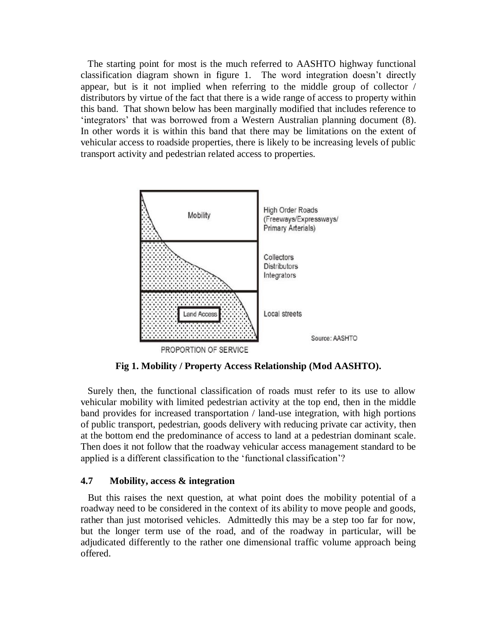The starting point for most is the much referred to AASHTO highway functional classification diagram shown in figure 1. The word integration doesn't directly appear, but is it not implied when referring to the middle group of collector / distributors by virtue of the fact that there is a wide range of access to property within this band. That shown below has been marginally modified that includes reference to 'integrators' that was borrowed from a Western Australian planning document (8). In other words it is within this band that there may be limitations on the extent of vehicular access to roadside properties, there is likely to be increasing levels of public transport activity and pedestrian related access to properties.



**Fig 1. Mobility / Property Access Relationship (Mod AASHTO).**

 Surely then, the functional classification of roads must refer to its use to allow vehicular mobility with limited pedestrian activity at the top end, then in the middle band provides for increased transportation / land-use integration, with high portions of public transport, pedestrian, goods delivery with reducing private car activity, then at the bottom end the predominance of access to land at a pedestrian dominant scale. Then does it not follow that the roadway vehicular access management standard to be applied is a different classification to the 'functional classification'?

## **4.7 Mobility, access & integration**

 But this raises the next question, at what point does the mobility potential of a roadway need to be considered in the context of its ability to move people and goods, rather than just motorised vehicles. Admittedly this may be a step too far for now, but the longer term use of the road, and of the roadway in particular, will be adjudicated differently to the rather one dimensional traffic volume approach being offered.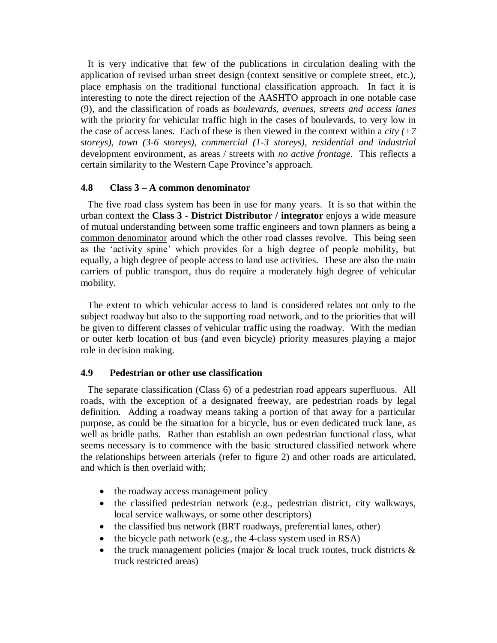It is very indicative that few of the publications in circulation dealing with the application of revised urban street design (context sensitive or complete street, etc.), place emphasis on the traditional functional classification approach. In fact it is interesting to note the direct rejection of the AASHTO approach in one notable case (9), and the classification of roads as *boulevards, avenues, streets and access lanes* with the priority for vehicular traffic high in the cases of boulevards, to very low in the case of access lanes. Each of these is then viewed in the context within a *city (+7 storeys), town (3-6 storeys), commercial (1-3 storeys), residential and industrial*  development environment, as areas / streets with *no active frontage*. This reflects a certain similarity to the Western Cape Province's approach.

# **4.8 Class 3 – A common denominator**

 The five road class system has been in use for many years. It is so that within the urban context the **Class 3 - District Distributor / integrator** enjoys a wide measure of mutual understanding between some traffic engineers and town planners as being a common denominator around which the other road classes revolve. This being seen as the 'activity spine' which provides for a high degree of people mobility, but equally, a high degree of people access to land use activities. These are also the main carriers of public transport, thus do require a moderately high degree of vehicular mobility.

 The extent to which vehicular access to land is considered relates not only to the subject roadway but also to the supporting road network, and to the priorities that will be given to different classes of vehicular traffic using the roadway. With the median or outer kerb location of bus (and even bicycle) priority measures playing a major role in decision making.

## **4.9 Pedestrian or other use classification**

 The separate classification (Class 6) of a pedestrian road appears superfluous. All roads, with the exception of a designated freeway, are pedestrian roads by legal definition. Adding a roadway means taking a portion of that away for a particular purpose, as could be the situation for a bicycle, bus or even dedicated truck lane, as well as bridle paths. Rather than establish an own pedestrian functional class, what seems necessary is to commence with the basic structured classified network where the relationships between arterials (refer to figure 2) and other roads are articulated, and which is then overlaid with;

- the roadway access management policy
- the classified pedestrian network (e.g., pedestrian district, city walkways, local service walkways, or some other descriptors)
- the classified bus network (BRT roadways, preferential lanes, other)
- $\bullet$  the bicycle path network (e.g., the 4-class system used in RSA)
- the truck management policies (major  $\&$  local truck routes, truck districts  $\&$ truck restricted areas)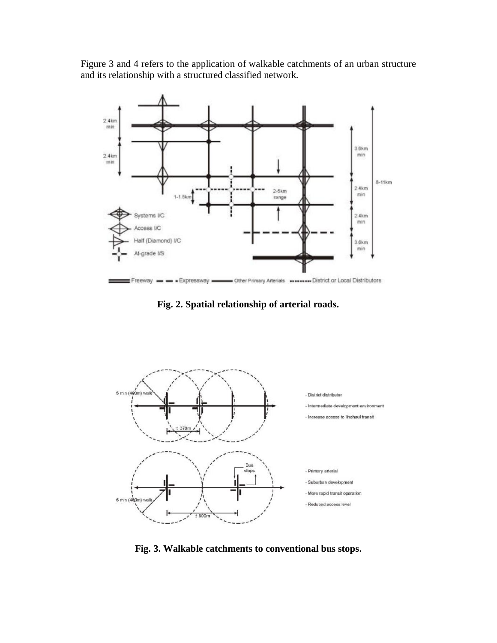Figure 3 and 4 refers to the application of walkable catchments of an urban structure and its relationship with a structured classified network.



**Fig. 2. Spatial relationship of arterial roads.**



**Fig. 3. Walkable catchments to conventional bus stops.**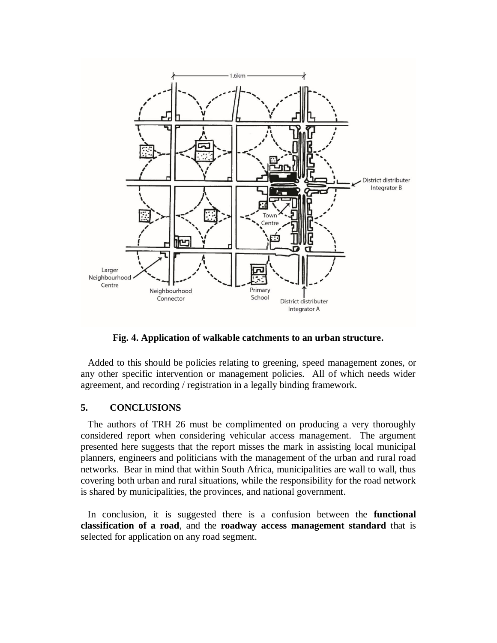

**Fig. 4. Application of walkable catchments to an urban structure.**

 Added to this should be policies relating to greening, speed management zones, or any other specific intervention or management policies. All of which needs wider agreement, and recording / registration in a legally binding framework.

## **5. CONCLUSIONS**

 The authors of TRH 26 must be complimented on producing a very thoroughly considered report when considering vehicular access management. The argument presented here suggests that the report misses the mark in assisting local municipal planners, engineers and politicians with the management of the urban and rural road networks. Bear in mind that within South Africa, municipalities are wall to wall, thus covering both urban and rural situations, while the responsibility for the road network is shared by municipalities, the provinces, and national government.

 In conclusion, it is suggested there is a confusion between the **functional classification of a road**, and the **roadway access management standard** that is selected for application on any road segment.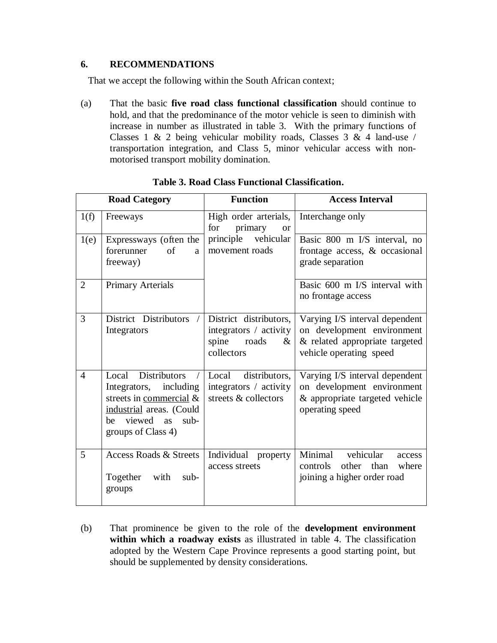# **6. RECOMMENDATIONS**

That we accept the following within the South African context;

(a) That the basic **five road class functional classification** should continue to hold, and that the predominance of the motor vehicle is seen to diminish with increase in number as illustrated in table 3. With the primary functions of Classes 1 & 2 being vehicular mobility roads, Classes 3 & 4 land-use / transportation integration, and Class 5, minor vehicular access with nonmotorised transport mobility domination.

| <b>Road Category</b> |                                                                                                                                                           | <b>Function</b>                                                                          | <b>Access Interval</b>                                                                                                    |  |
|----------------------|-----------------------------------------------------------------------------------------------------------------------------------------------------------|------------------------------------------------------------------------------------------|---------------------------------------------------------------------------------------------------------------------------|--|
| 1(f)                 | Freeways                                                                                                                                                  | High order arterials,<br>for<br>primary<br><b>or</b>                                     | Interchange only                                                                                                          |  |
| 1(e)                 | Expressways (often the<br>forerunner<br>of<br>a<br>freeway)                                                                                               | principle<br>vehicular<br>movement roads                                                 | Basic 800 m I/S interval, no<br>frontage access, & occasional<br>grade separation                                         |  |
| $\overline{2}$       | <b>Primary Arterials</b>                                                                                                                                  |                                                                                          | Basic 600 m I/S interval with<br>no frontage access                                                                       |  |
| 3                    | District Distributors<br>$\sqrt{2}$<br>Integrators                                                                                                        | District distributors,<br>integrators / activity<br>spine<br>roads<br>$\&$<br>collectors | Varying I/S interval dependent<br>on development environment<br>& related appropriate targeted<br>vehicle operating speed |  |
| $\overline{4}$       | Local Distributors<br>Integrators, including<br>streets in commercial $\&$<br>industrial areas. (Could<br>viewed as<br>$sub-$<br>be<br>groups of Class 4) | Local<br>distributors.<br>integrators / activity<br>streets & collectors                 | Varying I/S interval dependent<br>on development environment<br>& appropriate targeted vehicle<br>operating speed         |  |
| 5                    | <b>Access Roads &amp; Streets</b><br>Together<br>with<br>$sub-$<br>groups                                                                                 | Individual property<br>access streets                                                    | Minimal<br>vehicular<br>access<br>controls<br>other than<br>where<br>joining a higher order road                          |  |

**Table 3. Road Class Functional Classification.**

(b) That prominence be given to the role of the **development environment within which a roadway exists** as illustrated in table 4. The classification adopted by the Western Cape Province represents a good starting point, but should be supplemented by density considerations.